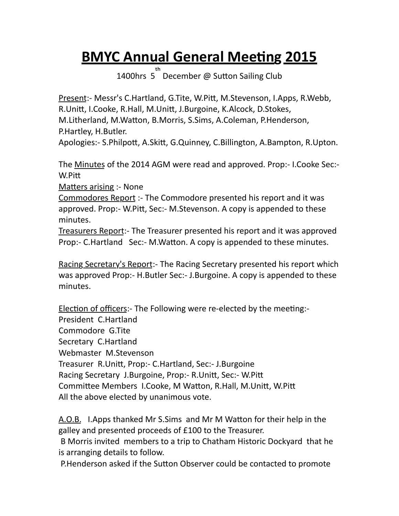## **BMYC Annual General Meeting 2015**

1400hrs 5<sup>th</sup> December @ Sutton Sailing Club

Present:- Messr's C.Hartland, G.Tite, W.Pitt, M.Stevenson, I.Apps, R.Webb, R.Unitt, I.Cooke, R.Hall, M.Unitt, J.Burgoine, K.Alcock, D.Stokes, M.Litherland, M.Watton, B.Morris, S.Sims, A.Coleman, P.Henderson, P.Hartley, H.Butler.

Apologies:- S.Philpott, A.Skitt, G.Quinney, C.Billington, A.Bampton, R.Upton.

The Minutes of the 2014 AGM were read and approved. Prop:- I.Cooke Sec:-W.Pitt

Matters arising :- None

Commodores Report :- The Commodore presented his report and it was approved. Prop:- W.Pitt, Sec:- M.Stevenson. A copy is appended to these minutes.

Treasurers Report:- The Treasurer presented his report and it was approved Prop:- C.Hartland Sec:- M.Watton. A copy is appended to these minutes.

Racing Secretary's Report:- The Racing Secretary presented his report which was approved Prop:- H.Butler Sec:- J.Burgoine. A copy is appended to these minutes.

Election of officers:- The Following were re-elected by the meeting:-President C.Hartland Commodore G.Tite Secretary C.Hartland Webmaster M.Stevenson Treasurer R.Unitt, Prop:- C.Hartland, Sec:- J.Burgoine Racing Secretary J.Burgoine, Prop:- R.Unitt, Sec:- W.Pitt Committee Members I.Cooke, M Watton, R.Hall, M.Unitt, W.Pitt All the above elected by unanimous vote.

A.O.B. I.Apps thanked Mr S.Sims and Mr M Watton for their help in the galley and presented proceeds of £100 to the Treasurer.

B Morris invited members to a trip to Chatham Historic Dockyard that he is arranging details to follow.

P. Henderson asked if the Sutton Observer could be contacted to promote